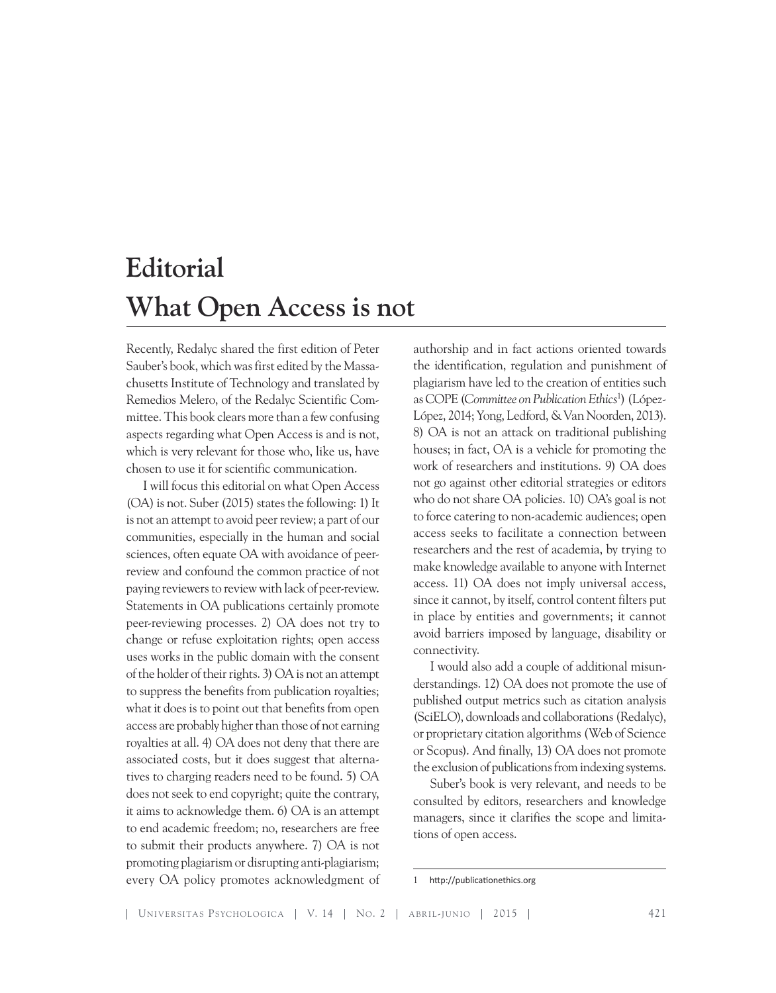## **Editorial What Open Access is not**

Recently, Redalyc shared the first edition of Peter Sauber's book, which was first edited by the Massachusetts Institute of Technology and translated by Remedios Melero, of the Redalyc Scientific Committee. This book clears more than a few confusing aspects regarding what Open Access is and is not, which is very relevant for those who, like us, have chosen to use it for scientific communication.

I will focus this editorial on what Open Access (OA) is not. Suber (2015) states the following: 1) It is not an attempt to avoid peer review; a part of our communities, especially in the human and social sciences, often equate OA with avoidance of peerreview and confound the common practice of not paying reviewers to review with lack of peer-review. Statements in OA publications certainly promote peer-reviewing processes. 2) OA does not try to change or refuse exploitation rights; open access uses works in the public domain with the consent of the holder of their rights. 3) OA is not an attempt to suppress the benefits from publication royalties; what it does is to point out that benefits from open access are probably higher than those of not earning royalties at all. 4) OA does not deny that there are associated costs, but it does suggest that alternatives to charging readers need to be found. 5) OA does not seek to end copyright; quite the contrary, it aims to acknowledge them. 6) OA is an attempt to end academic freedom; no, researchers are free to submit their products anywhere. 7) OA is not promoting plagiarism or disrupting anti-plagiarism; every OA policy promotes acknowledgment of

authorship and in fact actions oriented towards the identification, regulation and punishment of plagiarism have led to the creation of entities such as COPE (*Committee on Publication Ethics*<sup>1</sup> ) (López-López, 2014; Yong, Ledford, & Van Noorden, 2013). 8) OA is not an attack on traditional publishing houses; in fact, OA is a vehicle for promoting the work of researchers and institutions. 9) OA does not go against other editorial strategies or editors who do not share OA policies. 10) OA's goal is not to force catering to non-academic audiences; open access seeks to facilitate a connection between researchers and the rest of academia, by trying to make knowledge available to anyone with Internet access. 11) OA does not imply universal access, since it cannot, by itself, control content filters put in place by entities and governments; it cannot avoid barriers imposed by language, disability or connectivity.

I would also add a couple of additional misunderstandings. 12) OA does not promote the use of published output metrics such as citation analysis (SciELO), downloads and collaborations (Redalyc), or proprietary citation algorithms (Web of Science or Scopus). And finally, 13) OA does not promote the exclusion of publications from indexing systems.

Suber's book is very relevant, and needs to be consulted by editors, researchers and knowledge managers, since it clarifies the scope and limitations of open access.

<sup>1</sup> http://publicationethics.org